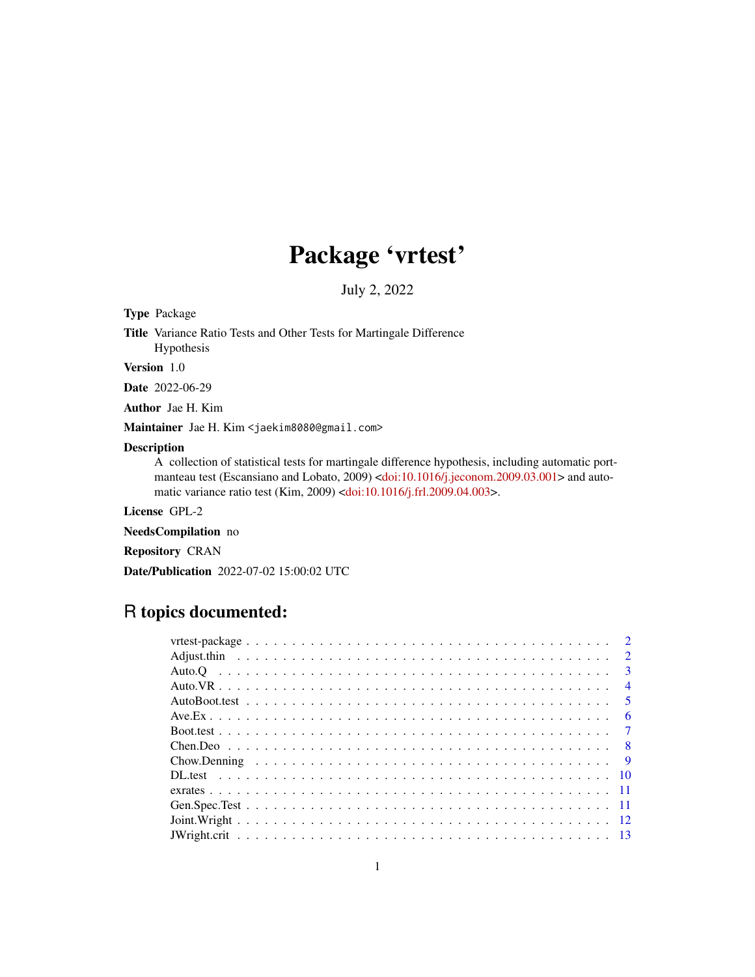# Package 'vrtest'

July 2, 2022

Type Package

Title Variance Ratio Tests and Other Tests for Martingale Difference Hypothesis

Version 1.0

Date 2022-06-29

Author Jae H. Kim

Maintainer Jae H. Kim <jaekim8080@gmail.com>

# Description

A collection of statistical tests for martingale difference hypothesis, including automatic port-manteau test (Escansiano and Lobato, 2009) [<doi:10.1016/j.jeconom.2009.03.001>](https://doi.org/10.1016/j.jeconom.2009.03.001) and automatic variance ratio test (Kim, 2009) [<doi:10.1016/j.frl.2009.04.003>](https://doi.org/10.1016/j.frl.2009.04.003).

License GPL-2

NeedsCompilation no

Repository CRAN

Date/Publication 2022-07-02 15:00:02 UTC

# R topics documented:

| $\overline{4}$ |
|----------------|
|                |
| - 6            |
|                |
|                |
|                |
|                |
|                |
|                |
|                |
|                |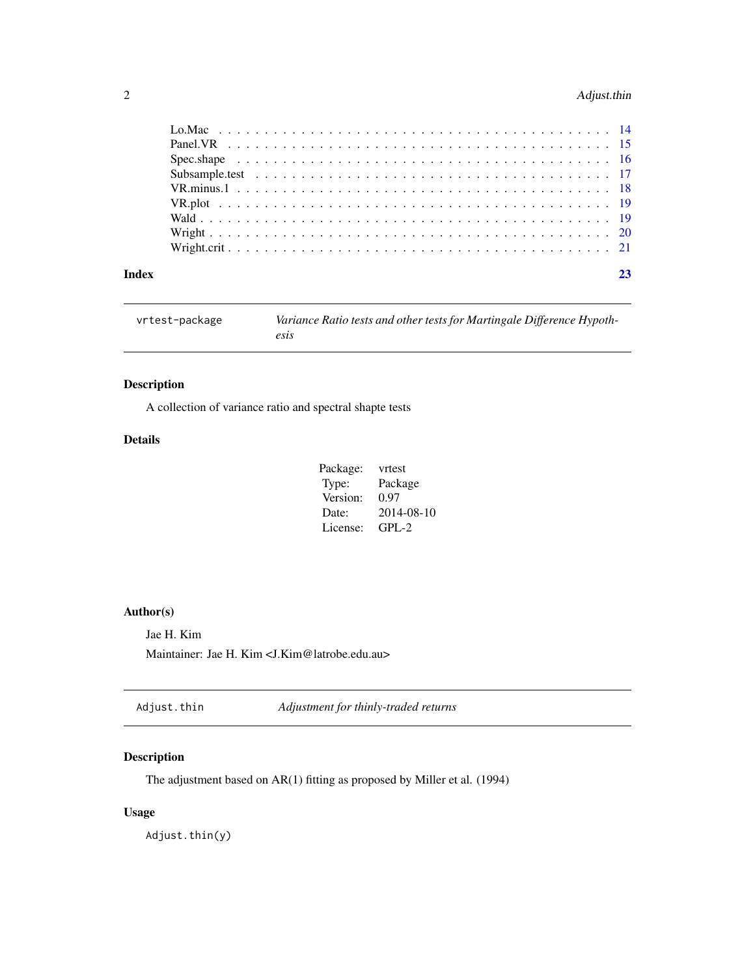# <span id="page-1-0"></span>2 Adjust.thin

| Index |  |
|-------|--|

| vrtest-package | Variance Ratio tests and other tests for Martingale Difference Hypoth- |
|----------------|------------------------------------------------------------------------|
|                | esis                                                                   |

# Description

A collection of variance ratio and spectral shapte tests

# Details

| Package: | vrtest     |
|----------|------------|
| Type:    | Package    |
| Version: | 0.97       |
| Date:    | 2014-08-10 |
| License: | $GPL-2$    |

# Author(s)

Jae H. Kim Maintainer: Jae H. Kim <J.Kim@latrobe.edu.au>

Adjust.thin *Adjustment for thinly-traded returns*

# Description

The adjustment based on AR(1) fitting as proposed by Miller et al. (1994)

# Usage

Adjust.thin(y)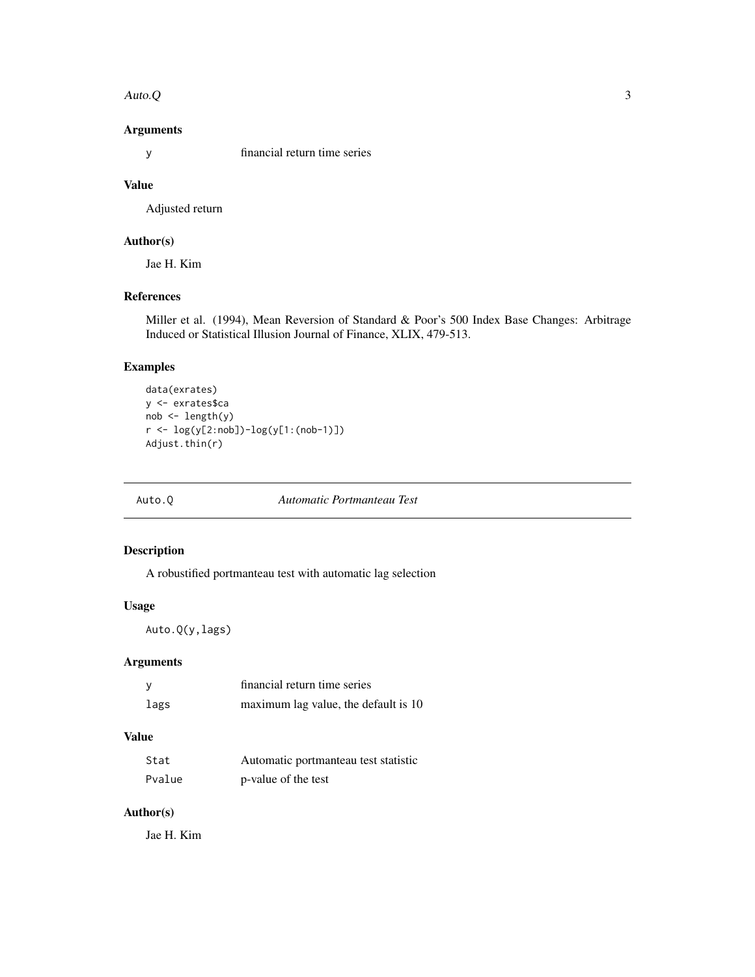#### <span id="page-2-0"></span>Auto.Q 3

# Arguments

y financial return time series

# Value

Adjusted return

# Author(s)

Jae H. Kim

# References

Miller et al. (1994), Mean Reversion of Standard & Poor's 500 Index Base Changes: Arbitrage Induced or Statistical Illusion Journal of Finance, XLIX, 479-513.

# Examples

```
data(exrates)
y <- exrates$ca
nob <- length(y)
r <- log(y[2:nob])-log(y[1:(nob-1)])
Adjust.thin(r)
```
#### Auto.Q *Automatic Portmanteau Test*

# Description

A robustified portmanteau test with automatic lag selection

# Usage

Auto.Q(y,lags)

# Arguments

| y    | financial return time series         |
|------|--------------------------------------|
| lags | maximum lag value, the default is 10 |

# Value

| Stat   | Automatic portmanteau test statistic |
|--------|--------------------------------------|
| Pvalue | p-value of the test                  |

# Author(s)

Jae H. Kim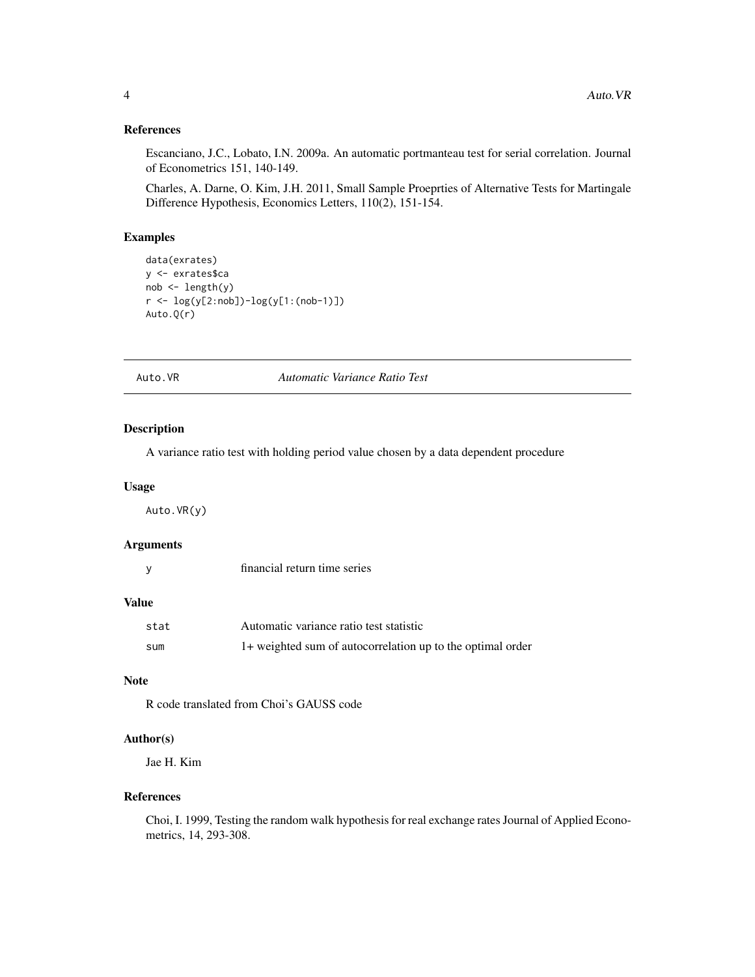# <span id="page-3-0"></span>References

Escanciano, J.C., Lobato, I.N. 2009a. An automatic portmanteau test for serial correlation. Journal of Econometrics 151, 140-149.

Charles, A. Darne, O. Kim, J.H. 2011, Small Sample Proeprties of Alternative Tests for Martingale Difference Hypothesis, Economics Letters, 110(2), 151-154.

# Examples

```
data(exrates)
y <- exrates$ca
nob \leftarrow length(y)r <- log(y[2:nob])-log(y[1:(nob-1)])
Auto.Q(r)
```
Auto.VR *Automatic Variance Ratio Test*

### Description

A variance ratio test with holding period value chosen by a data dependent procedure

#### Usage

Auto.VR(y)

## Arguments

| financial return time series |  |  |
|------------------------------|--|--|
|                              |  |  |

#### Value

| stat | Automatic variance ratio test statistic                    |
|------|------------------------------------------------------------|
| sum  | 1+ weighted sum of autocorrelation up to the optimal order |

## **Note**

R code translated from Choi's GAUSS code

# Author(s)

Jae H. Kim

#### References

Choi, I. 1999, Testing the random walk hypothesis for real exchange rates Journal of Applied Econometrics, 14, 293-308.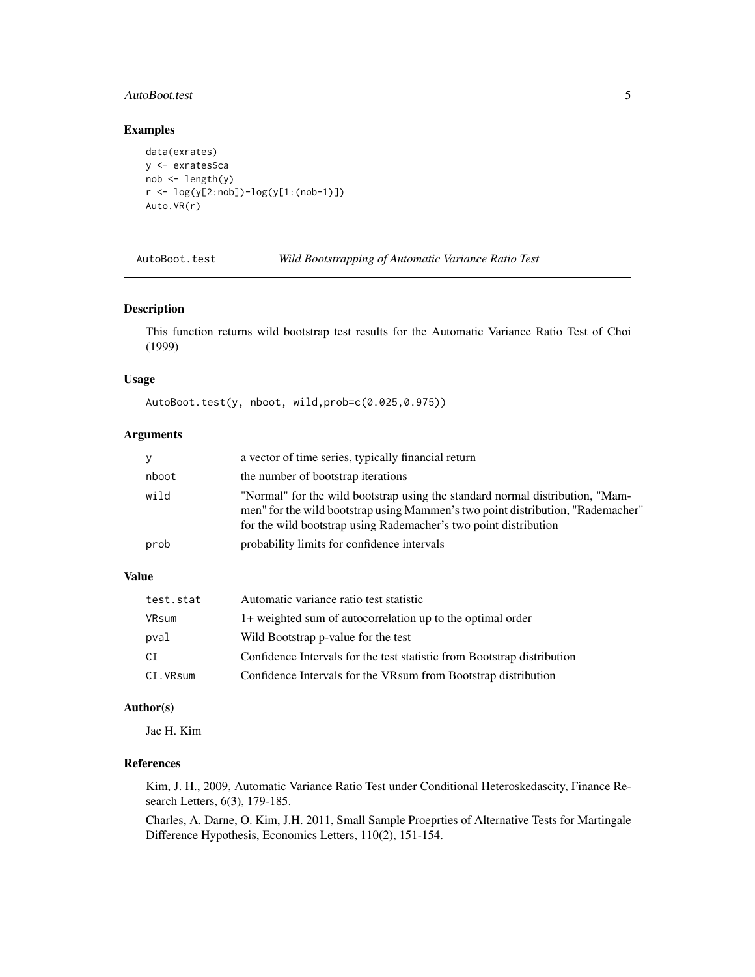# <span id="page-4-0"></span>AutoBoot.test 5

# Examples

```
data(exrates)
y <- exrates$ca
nob \leftarrow length(y)r <- log(y[2:nob])-log(y[1:(nob-1)])
Auto.VR(r)
```
AutoBoot.test *Wild Bootstrapping of Automatic Variance Ratio Test*

#### Description

This function returns wild bootstrap test results for the Automatic Variance Ratio Test of Choi (1999)

# Usage

AutoBoot.test(y, nboot, wild,prob=c(0.025,0.975))

# Arguments

| y     | a vector of time series, typically financial return                                                                                                                                                                                  |
|-------|--------------------------------------------------------------------------------------------------------------------------------------------------------------------------------------------------------------------------------------|
| nboot | the number of bootstrap iterations                                                                                                                                                                                                   |
| wild  | "Normal" for the wild bootstrap using the standard normal distribution, "Mam-<br>men" for the wild bootstrap using Mammen's two point distribution, "Rademacher"<br>for the wild bootstrap using Rademacher's two point distribution |
| prob  | probability limits for confidence intervals                                                                                                                                                                                          |

# Value

| test.stat | Automatic variance ratio test statistic                                 |
|-----------|-------------------------------------------------------------------------|
| VRsum     | 1+ weighted sum of autocorrelation up to the optimal order              |
| pval      | Wild Bootstrap p-value for the test                                     |
| CI        | Confidence Intervals for the test statistic from Bootstrap distribution |
| CI.VRsum  | Confidence Intervals for the VRsum from Bootstrap distribution          |

# Author(s)

Jae H. Kim

# References

Kim, J. H., 2009, Automatic Variance Ratio Test under Conditional Heteroskedascity, Finance Research Letters, 6(3), 179-185.

Charles, A. Darne, O. Kim, J.H. 2011, Small Sample Proeprties of Alternative Tests for Martingale Difference Hypothesis, Economics Letters, 110(2), 151-154.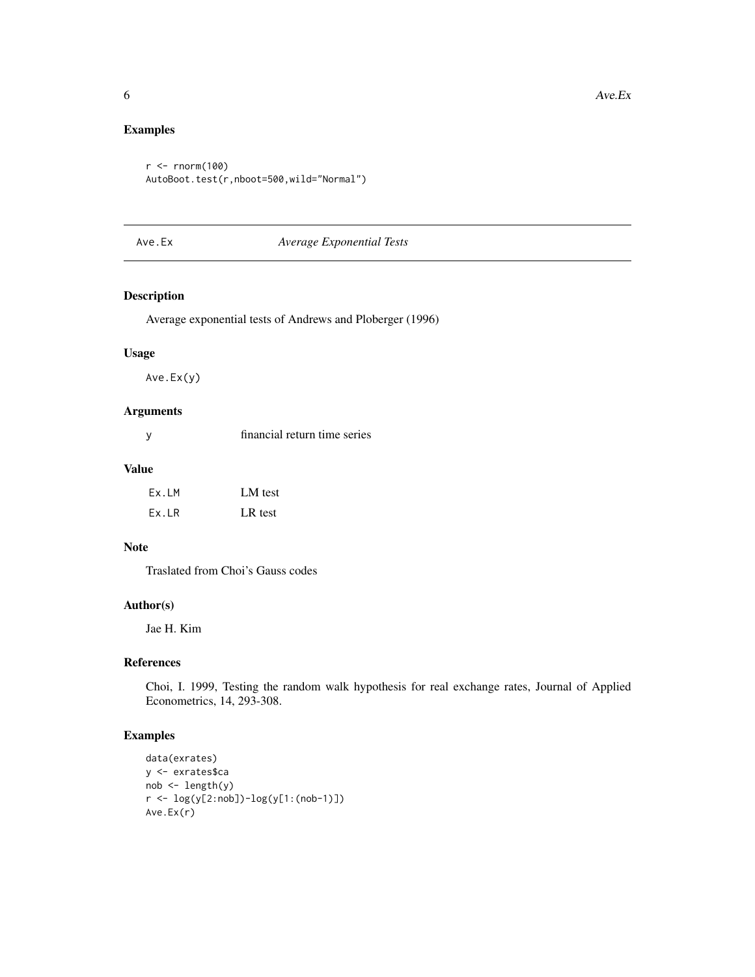# Examples

```
r < -rnorm(100)AutoBoot.test(r,nboot=500,wild="Normal")
```
# Ave.Ex *Average Exponential Tests*

# Description

Average exponential tests of Andrews and Ploberger (1996)

#### Usage

Ave.Ex(y)

# Arguments

#### Value

| Ex.LM | LM test |
|-------|---------|
| Ex.LR | LR test |

#### Note

Traslated from Choi's Gauss codes

# Author(s)

Jae H. Kim

# References

Choi, I. 1999, Testing the random walk hypothesis for real exchange rates, Journal of Applied Econometrics, 14, 293-308.

```
data(exrates)
y <- exrates$ca
nob <- length(y)
r <- log(y[2:nob])-log(y[1:(nob-1)])
Ave.Ex(r)
```
<span id="page-5-0"></span>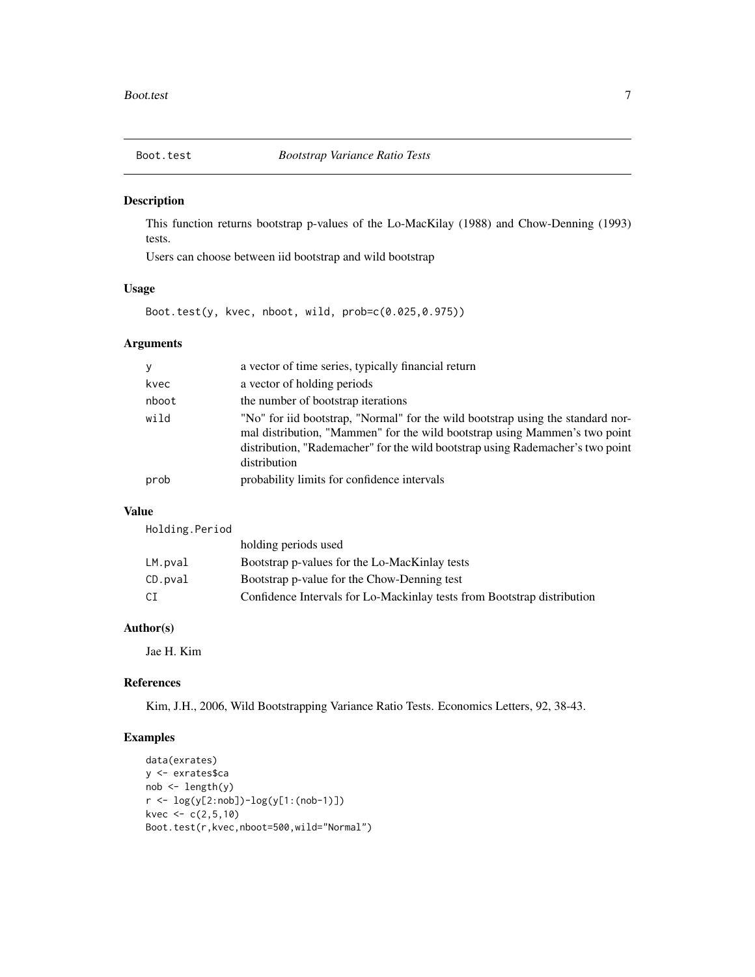<span id="page-6-0"></span>

This function returns bootstrap p-values of the Lo-MacKilay (1988) and Chow-Denning (1993) tests.

Users can choose between iid bootstrap and wild bootstrap

#### Usage

Boot.test(y, kvec, nboot, wild, prob=c(0.025,0.975))

# Arguments

| у     | a vector of time series, typically financial return                                                                                                                                                                                                             |
|-------|-----------------------------------------------------------------------------------------------------------------------------------------------------------------------------------------------------------------------------------------------------------------|
| kvec  | a vector of holding periods                                                                                                                                                                                                                                     |
| nboot | the number of bootstrap iterations                                                                                                                                                                                                                              |
| wild  | "No" for iid bootstrap, "Normal" for the wild bootstrap using the standard nor-<br>mal distribution, "Mammen" for the wild bootstrap using Mammen's two point<br>distribution, "Rademacher" for the wild bootstrap using Rademacher's two point<br>distribution |
| prob  | probability limits for confidence intervals                                                                                                                                                                                                                     |
|       |                                                                                                                                                                                                                                                                 |

#### Value

Holding.Period

|         | holding periods used                                                    |
|---------|-------------------------------------------------------------------------|
| LM.pval | Bootstrap p-values for the Lo-MacKinlay tests                           |
| CD.pval | Bootstrap p-value for the Chow-Denning test                             |
| СI      | Confidence Intervals for Lo-Mackinlay tests from Bootstrap distribution |

# Author(s)

Jae H. Kim

#### References

Kim, J.H., 2006, Wild Bootstrapping Variance Ratio Tests. Economics Letters, 92, 38-43.

```
data(exrates)
y <- exrates$ca
nob <- length(y)
r <- log(y[2:nob])-log(y[1:(nob-1)])
kvec <-c(2,5,10)Boot.test(r,kvec,nboot=500,wild="Normal")
```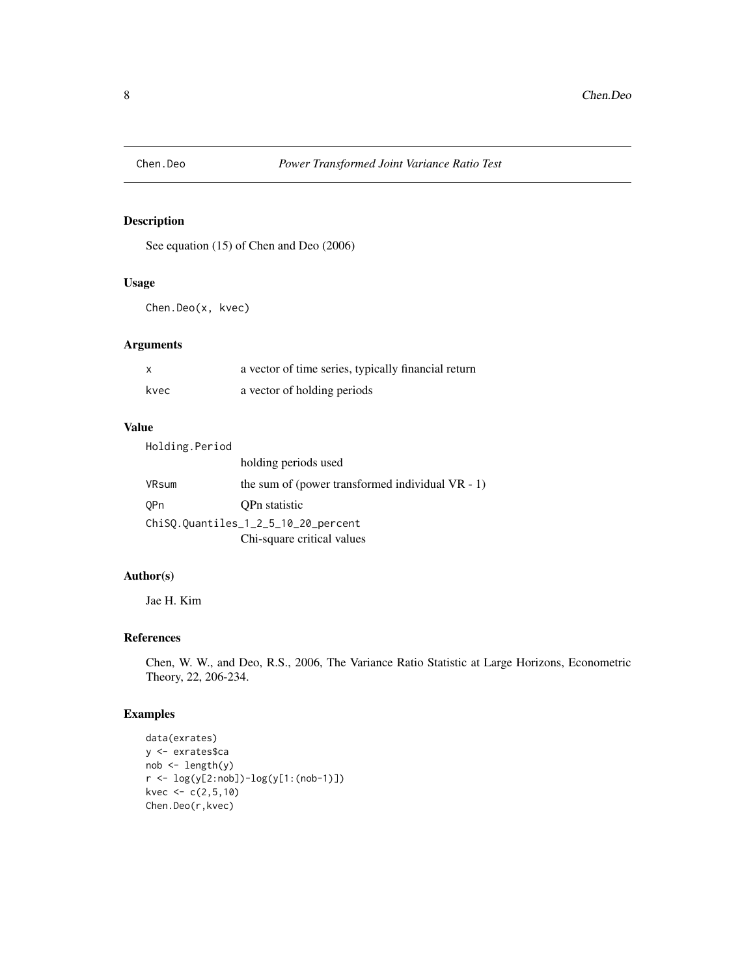<span id="page-7-0"></span>

See equation (15) of Chen and Deo (2006)

#### Usage

Chen.Deo(x, kvec)

# Arguments

| $\boldsymbol{\mathsf{x}}$ | a vector of time series, typically financial return |
|---------------------------|-----------------------------------------------------|
| kvec                      | a vector of holding periods                         |

# Value

| Holding.Period                      |                                                     |
|-------------------------------------|-----------------------------------------------------|
|                                     | holding periods used                                |
| VRsum                               | the sum of (power transformed individual $VR - 1$ ) |
| 0Pn                                 | OPn statistic                                       |
| ChiSQ.Quantiles_1_2_5_10_20_percent |                                                     |
|                                     | Chi-square critical values                          |

# Author(s)

Jae H. Kim

# References

Chen, W. W., and Deo, R.S., 2006, The Variance Ratio Statistic at Large Horizons, Econometric Theory, 22, 206-234.

```
data(exrates)
y <- exrates$ca
nob < - length(y)
r <- log(y[2:nob])-log(y[1:(nob-1)])
kvec <- c(2,5,10)
Chen.Deo(r,kvec)
```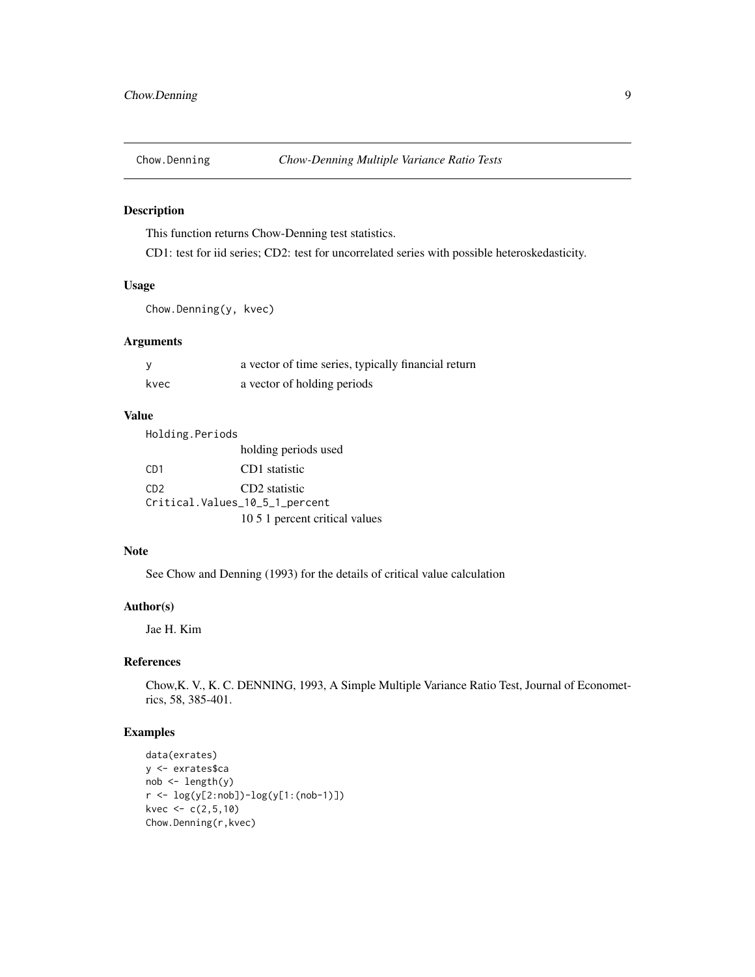<span id="page-8-0"></span>

This function returns Chow-Denning test statistics.

CD1: test for iid series; CD2: test for uncorrelated series with possible heteroskedasticity.

#### Usage

Chow.Denning(y, kvec)

#### Arguments

|      | a vector of time series, typically financial return |
|------|-----------------------------------------------------|
| kvec | a vector of holding periods                         |

#### Value

Holding.Periods holding periods used CD1 CD1 statistic CD2 CD2 statistic Critical.Values\_10\_5\_1\_percent 10 5 1 percent critical values

# Note

See Chow and Denning (1993) for the details of critical value calculation

# Author(s)

Jae H. Kim

# References

Chow,K. V., K. C. DENNING, 1993, A Simple Multiple Variance Ratio Test, Journal of Econometrics, 58, 385-401.

```
data(exrates)
y <- exrates$ca
nob \leftarrow length(y)r <- log(y[2:nob])-log(y[1:(nob-1)])
kvec <-c(2,5,10)Chow.Denning(r,kvec)
```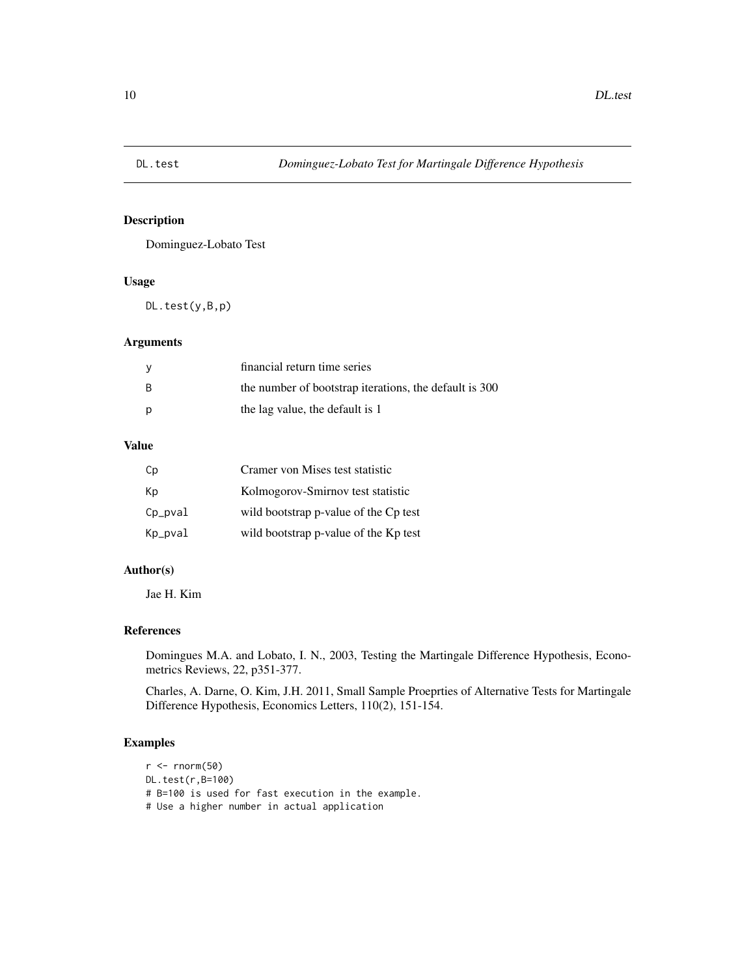<span id="page-9-0"></span>

Dominguez-Lobato Test

# Usage

DL.test(y,B,p)

# Arguments

|     | financial return time series                           |
|-----|--------------------------------------------------------|
| - B | the number of bootstrap iterations, the default is 300 |
| p   | the lag value, the default is 1                        |

#### Value

| Cp      | Cramer von Mises test statistic       |
|---------|---------------------------------------|
| Кp      | Kolmogorov-Smirnov test statistic     |
| Cp_pval | wild bootstrap p-value of the Cp test |
| Kp_pval | wild bootstrap p-value of the Kp test |

# Author(s)

Jae H. Kim

# References

Domingues M.A. and Lobato, I. N., 2003, Testing the Martingale Difference Hypothesis, Econometrics Reviews, 22, p351-377.

Charles, A. Darne, O. Kim, J.H. 2011, Small Sample Proeprties of Alternative Tests for Martingale Difference Hypothesis, Economics Letters, 110(2), 151-154.

```
r <- rnorm(50)
DL.test(r,B=100)
# B=100 is used for fast execution in the example.
# Use a higher number in actual application
```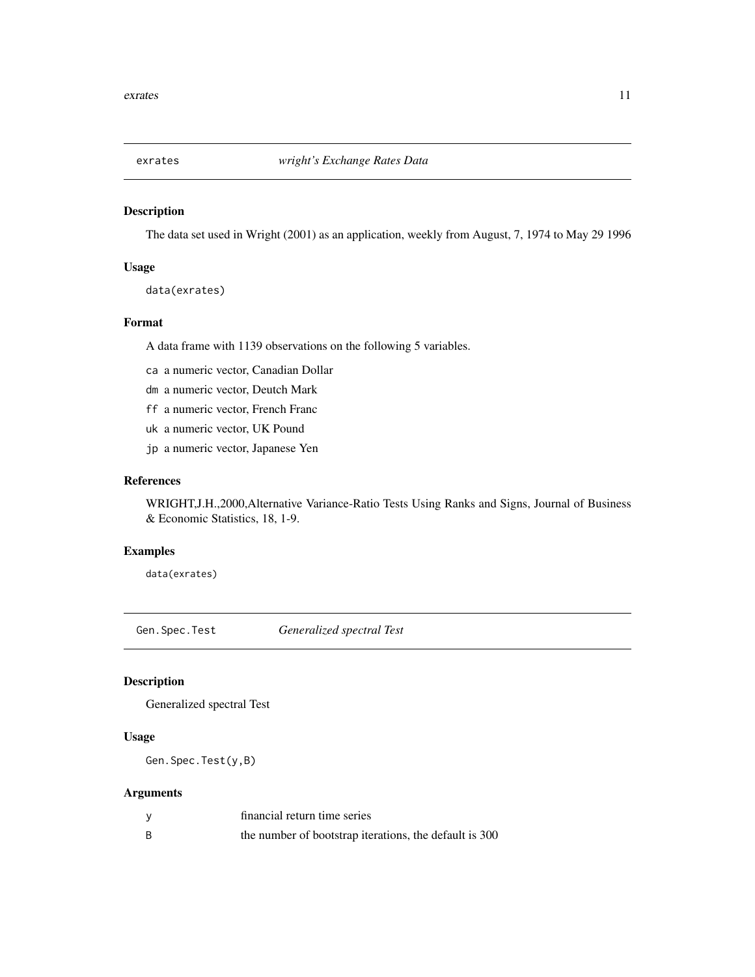<span id="page-10-0"></span>

The data set used in Wright (2001) as an application, weekly from August, 7, 1974 to May 29 1996

#### Usage

```
data(exrates)
```
# Format

A data frame with 1139 observations on the following 5 variables.

- ca a numeric vector, Canadian Dollar
- dm a numeric vector, Deutch Mark
- ff a numeric vector, French Franc
- uk a numeric vector, UK Pound
- jp a numeric vector, Japanese Yen

#### References

WRIGHT,J.H.,2000,Alternative Variance-Ratio Tests Using Ranks and Signs, Journal of Business & Economic Statistics, 18, 1-9.

# Examples

data(exrates)

Gen.Spec.Test *Generalized spectral Test*

# Description

Generalized spectral Test

#### Usage

Gen.Spec.Test(y,B)

# Arguments

| financial return time series                           |
|--------------------------------------------------------|
| the number of bootstrap iterations, the default is 300 |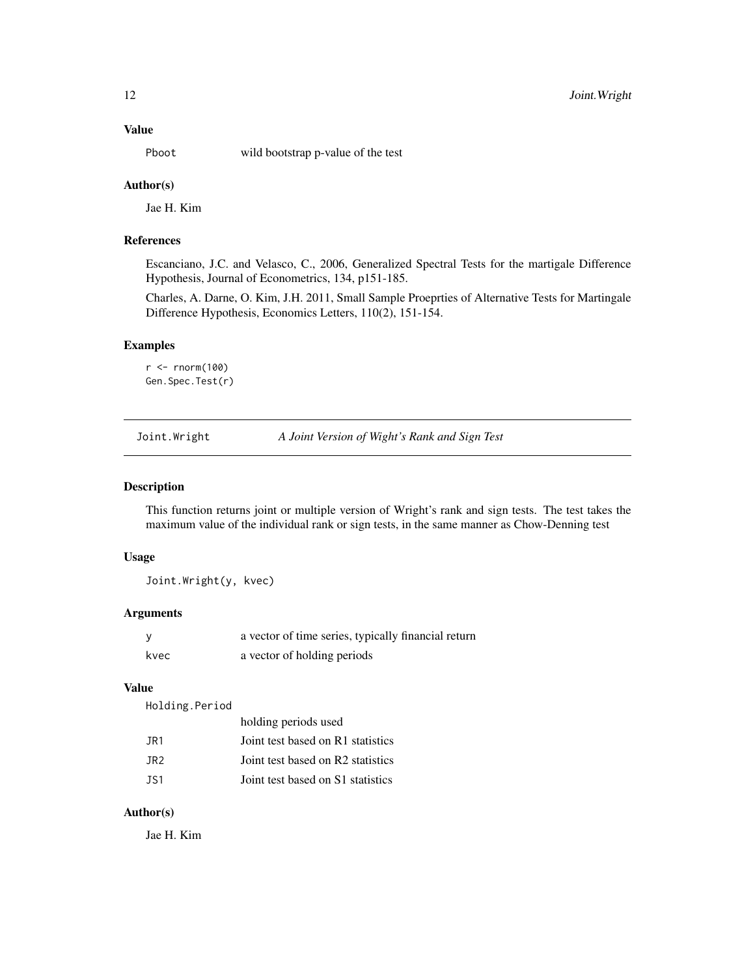<span id="page-11-0"></span>

Pboot wild bootstrap p-value of the test

#### Author(s)

Jae H. Kim

#### References

Escanciano, J.C. and Velasco, C., 2006, Generalized Spectral Tests for the martigale Difference Hypothesis, Journal of Econometrics, 134, p151-185.

Charles, A. Darne, O. Kim, J.H. 2011, Small Sample Proeprties of Alternative Tests for Martingale Difference Hypothesis, Economics Letters, 110(2), 151-154.

# Examples

```
r <- rnorm(100)
Gen.Spec.Test(r)
```
Joint.Wright *A Joint Version of Wight's Rank and Sign Test*

#### Description

This function returns joint or multiple version of Wright's rank and sign tests. The test takes the maximum value of the individual rank or sign tests, in the same manner as Chow-Denning test

#### Usage

Joint.Wright(y, kvec)

#### Arguments

|      | a vector of time series, typically financial return |
|------|-----------------------------------------------------|
| kvec | a vector of holding periods                         |

#### Value

Holding.Period

|      | holding periods used              |
|------|-----------------------------------|
| JR1  | Joint test based on R1 statistics |
| JR2. | Joint test based on R2 statistics |
| JS1  | Joint test based on S1 statistics |

#### Author(s)

Jae H. Kim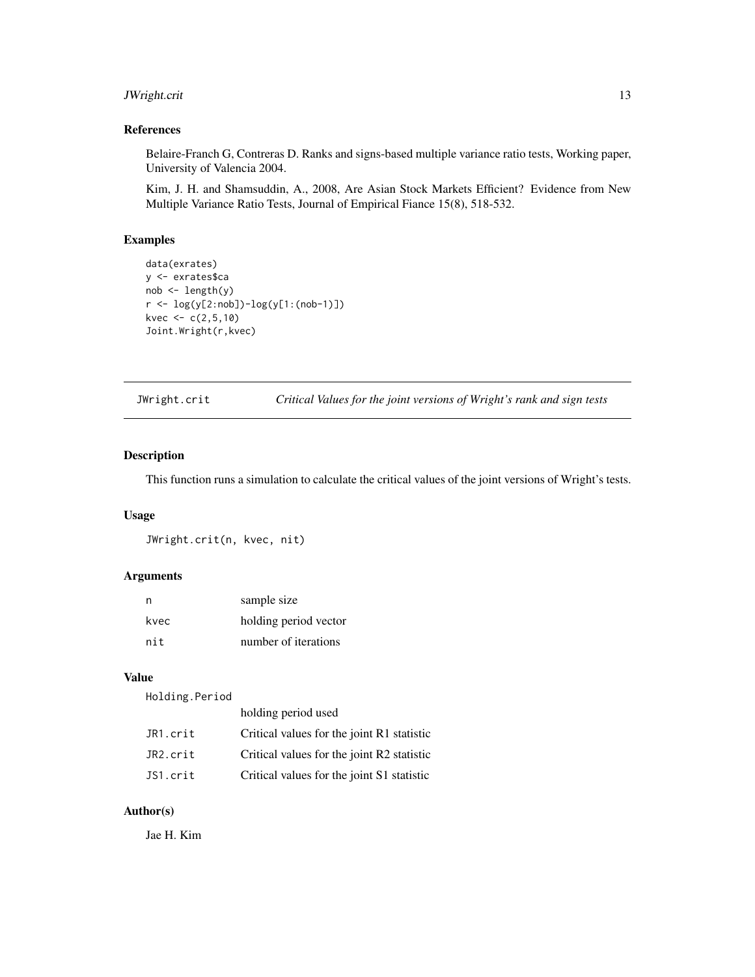# <span id="page-12-0"></span>JWright.crit 13

# References

Belaire-Franch G, Contreras D. Ranks and signs-based multiple variance ratio tests, Working paper, University of Valencia 2004.

Kim, J. H. and Shamsuddin, A., 2008, Are Asian Stock Markets Efficient? Evidence from New Multiple Variance Ratio Tests, Journal of Empirical Fiance 15(8), 518-532.

#### Examples

```
data(exrates)
y <- exrates$ca
nob <- length(y)
r <- log(y[2:nob])-log(y[1:(nob-1)])
kvec <-c(2,5,10)Joint.Wright(r,kvec)
```
JWright.crit *Critical Values for the joint versions of Wright's rank and sign tests*

#### Description

This function runs a simulation to calculate the critical values of the joint versions of Wright's tests.

# Usage

JWright.crit(n, kvec, nit)

# Arguments

| n    | sample size           |
|------|-----------------------|
| kvec | holding period vector |
| nit  | number of iterations  |

# Value

Holding.Period

|          | holding period used                        |
|----------|--------------------------------------------|
| JR1.crit | Critical values for the joint R1 statistic |
| JR2.crit | Critical values for the joint R2 statistic |
| JS1.crit | Critical values for the joint S1 statistic |

# Author(s)

Jae H. Kim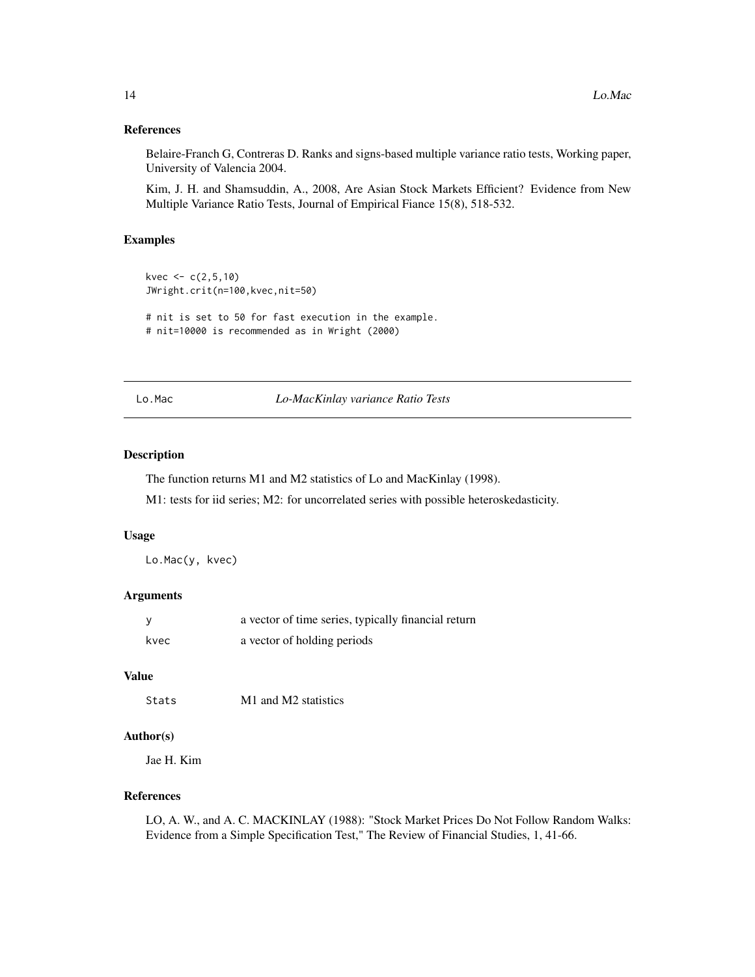#### <span id="page-13-0"></span>References

Belaire-Franch G, Contreras D. Ranks and signs-based multiple variance ratio tests, Working paper, University of Valencia 2004.

Kim, J. H. and Shamsuddin, A., 2008, Are Asian Stock Markets Efficient? Evidence from New Multiple Variance Ratio Tests, Journal of Empirical Fiance 15(8), 518-532.

#### Examples

```
kvec <-c(2,5,10)JWright.crit(n=100,kvec,nit=50)
# nit is set to 50 for fast execution in the example.
# nit=10000 is recommended as in Wright (2000)
```
Lo.Mac *Lo-MacKinlay variance Ratio Tests*

#### Description

The function returns M1 and M2 statistics of Lo and MacKinlay (1998).

M1: tests for iid series; M2: for uncorrelated series with possible heteroskedasticity.

# Usage

Lo.Mac(y, kvec)

#### Arguments

|      | a vector of time series, typically financial return |
|------|-----------------------------------------------------|
| kvec | a vector of holding periods                         |

# Value

Stats M1 and M2 statistics

#### Author(s)

Jae H. Kim

# References

LO, A. W., and A. C. MACKINLAY (1988): "Stock Market Prices Do Not Follow Random Walks: Evidence from a Simple Specification Test," The Review of Financial Studies, 1, 41-66.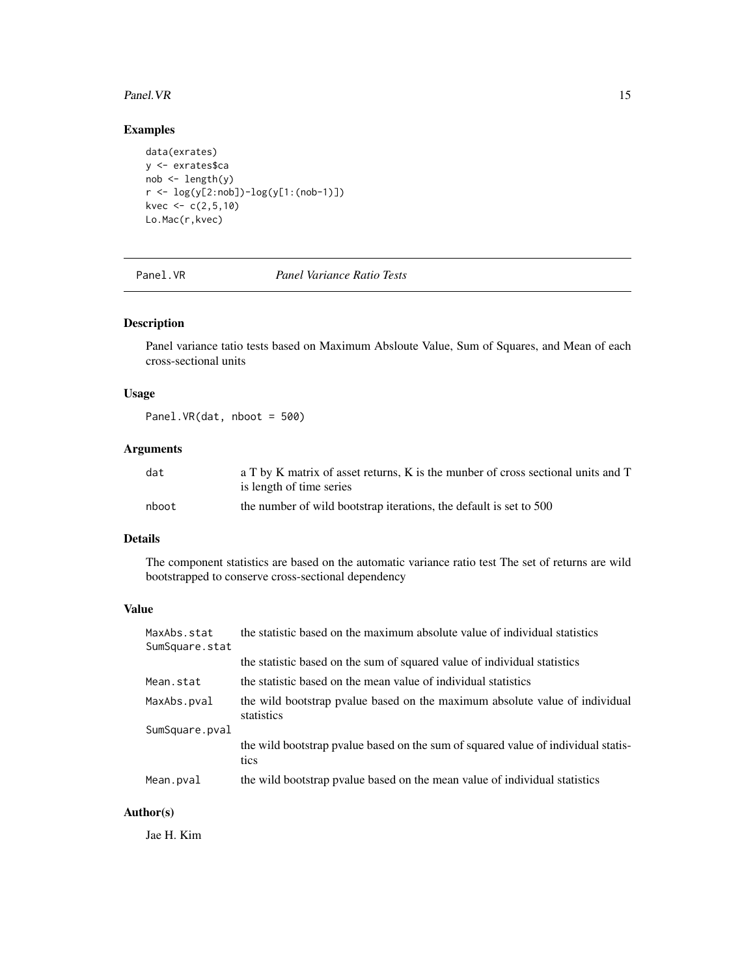#### <span id="page-14-0"></span>Panel.VR 15

# Examples

```
data(exrates)
y <- exrates$ca
nob <- length(y)
r <- log(y[2:nob])-log(y[1:(nob-1)])
kvec <-c(2,5,10)Lo.Mac(r,kvec)
```
#### Panel.VR *Panel Variance Ratio Tests*

# Description

Panel variance tatio tests based on Maximum Absloute Value, Sum of Squares, and Mean of each cross-sectional units

# Usage

Panel.VR(dat, nboot = 500)

# Arguments

| dat   | a T by K matrix of asset returns, K is the munber of cross sectional units and T |
|-------|----------------------------------------------------------------------------------|
|       | is length of time series                                                         |
| nboot | the number of wild bootstrap iterations, the default is set to 500               |

# Details

The component statistics are based on the automatic variance ratio test The set of returns are wild bootstrapped to conserve cross-sectional dependency

#### Value

| MaxAbs.stat<br>SumSquare.stat | the statistic based on the maximum absolute value of individual statistics                |
|-------------------------------|-------------------------------------------------------------------------------------------|
|                               | the statistic based on the sum of squared value of individual statistics                  |
| Mean.stat                     | the statistic based on the mean value of individual statistics                            |
| MaxAbs.pval                   | the wild bootstrap pyalue based on the maximum absolute value of individual<br>statistics |
| SumSquare.pval                |                                                                                           |
|                               | the wild bootstrap pyalue based on the sum of squared value of individual statis-<br>tics |
| Mean.pval                     | the wild bootstrap pvalue based on the mean value of individual statistics                |
|                               |                                                                                           |

# Author(s)

Jae H. Kim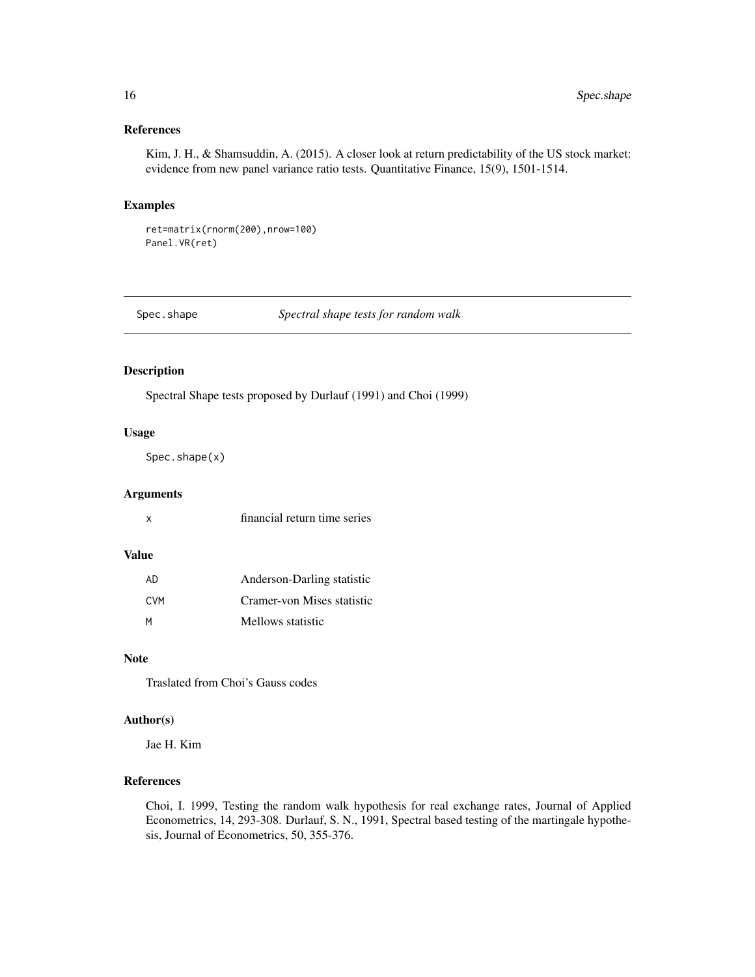# <span id="page-15-0"></span>References

Kim, J. H., & Shamsuddin, A. (2015). A closer look at return predictability of the US stock market: evidence from new panel variance ratio tests. Quantitative Finance, 15(9), 1501-1514.

#### Examples

ret=matrix(rnorm(200),nrow=100) Panel.VR(ret)

Spec.shape *Spectral shape tests for random walk*

#### Description

Spectral Shape tests proposed by Durlauf (1991) and Choi (1999)

#### Usage

Spec.shape(x)

#### Arguments

| financial return time series |  |  |
|------------------------------|--|--|
|                              |  |  |

#### Value

| AD.  | Anderson-Darling statistic |
|------|----------------------------|
| C.VM | Cramer-von Mises statistic |
| м    | Mellows statistic          |

# Note

Traslated from Choi's Gauss codes

# Author(s)

Jae H. Kim

# References

Choi, I. 1999, Testing the random walk hypothesis for real exchange rates, Journal of Applied Econometrics, 14, 293-308. Durlauf, S. N., 1991, Spectral based testing of the martingale hypothesis, Journal of Econometrics, 50, 355-376.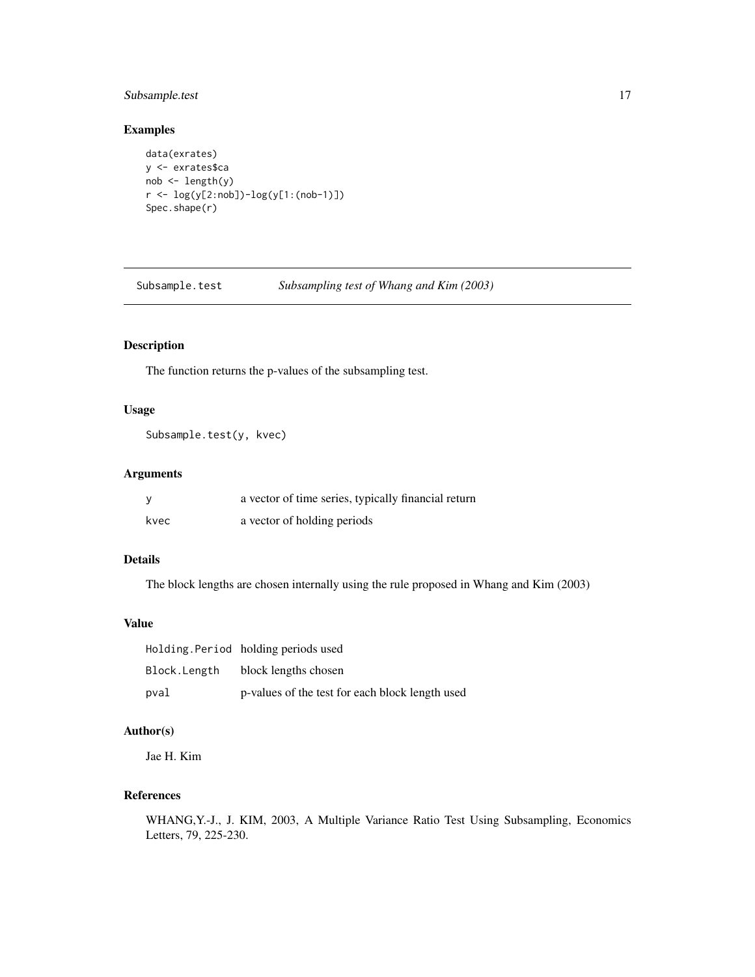# <span id="page-16-0"></span>Subsample.test 17

# Examples

```
data(exrates)
y <- exrates$ca
nob <- length(y)
r <- log(y[2:nob])-log(y[1:(nob-1)])
Spec.shape(r)
```
Subsample.test *Subsampling test of Whang and Kim (2003)*

# Description

The function returns the p-values of the subsampling test.

#### Usage

```
Subsample.test(y, kvec)
```
# Arguments

| <b>V</b> | a vector of time series, typically financial return |
|----------|-----------------------------------------------------|
| kvec     | a vector of holding periods                         |

# Details

The block lengths are chosen internally using the rule proposed in Whang and Kim (2003)

#### Value

|              | Holding Period holding periods used             |
|--------------|-------------------------------------------------|
| Block.Length | block lengths chosen                            |
| pval         | p-values of the test for each block length used |

# Author(s)

Jae H. Kim

# References

WHANG,Y.-J., J. KIM, 2003, A Multiple Variance Ratio Test Using Subsampling, Economics Letters, 79, 225-230.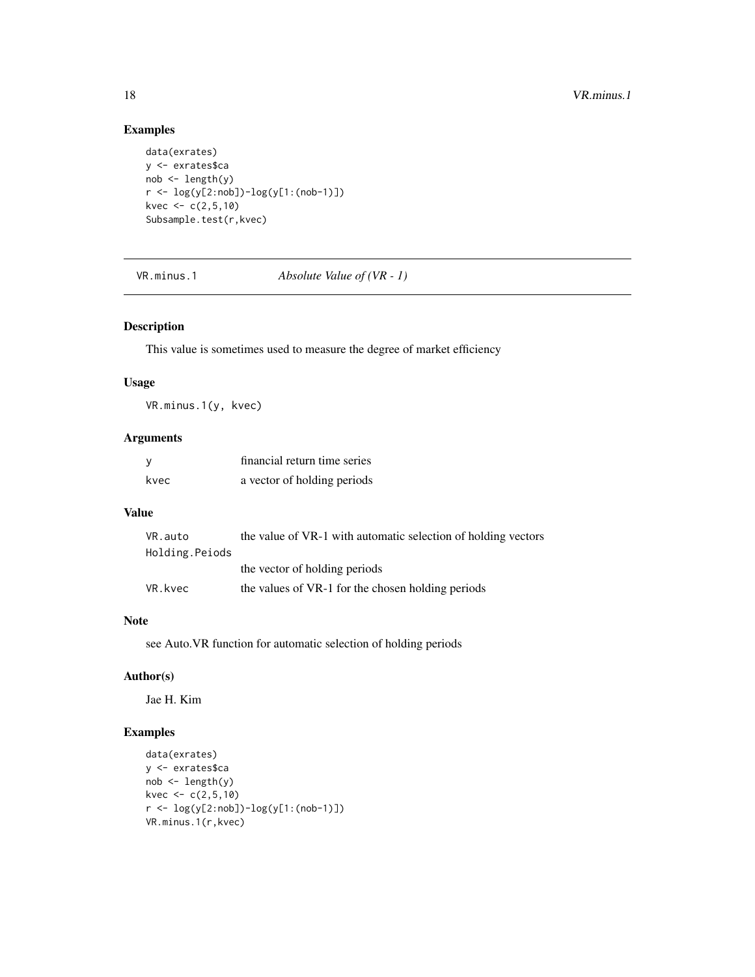# Examples

```
data(exrates)
y <- exrates$ca
nob <- length(y)
r <- log(y[2:nob])-log(y[1:(nob-1)])
kvec <-c(2,5,10)Subsample.test(r,kvec)
```
VR.minus.1 *Absolute Value of (VR - 1)*

# Description

This value is sometimes used to measure the degree of market efficiency

# Usage

VR.minus.1(y, kvec)

# Arguments

| – V  | financial return time series |
|------|------------------------------|
| kvec | a vector of holding periods  |

# Value

| VR.auto        | the value of VR-1 with automatic selection of holding vectors |
|----------------|---------------------------------------------------------------|
| Holding.Peiods |                                                               |
|                | the vector of holding periods                                 |
| VR.kvec        | the values of VR-1 for the chosen holding periods             |

# Note

see Auto.VR function for automatic selection of holding periods

#### Author(s)

Jae H. Kim

```
data(exrates)
y <- exrates$ca
nob \leftarrow length(y)kvec <-c(2,5,10)r <- log(y[2:nob])-log(y[1:(nob-1)])
VR.minus.1(r,kvec)
```
<span id="page-17-0"></span>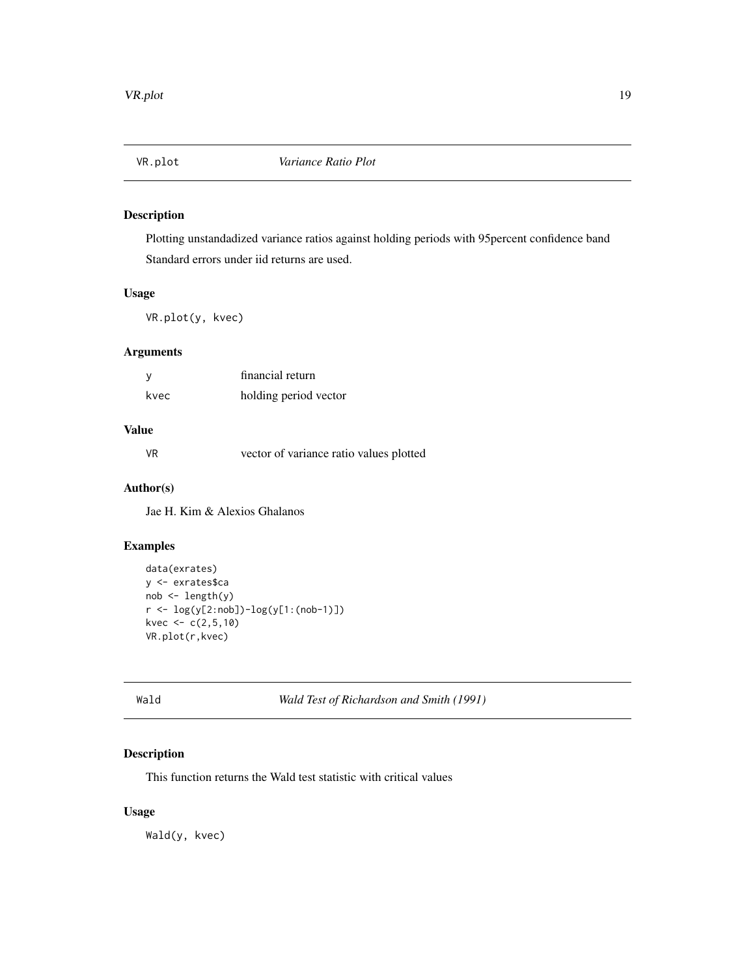<span id="page-18-0"></span>

Plotting unstandadized variance ratios against holding periods with 95percent confidence band Standard errors under iid returns are used.

# Usage

VR.plot(y, kvec)

#### Arguments

|      | financial return      |
|------|-----------------------|
| kvec | holding period vector |

# Value

VR vector of variance ratio values plotted

# Author(s)

Jae H. Kim & Alexios Ghalanos

# Examples

```
data(exrates)
y <- exrates$ca
nob <- length(y)
r <- log(y[2:nob])-log(y[1:(nob-1)])
kvec <-c(2,5,10)VR.plot(r,kvec)
```
Wald *Wald Test of Richardson and Smith (1991)*

# Description

This function returns the Wald test statistic with critical values

# Usage

Wald(y, kvec)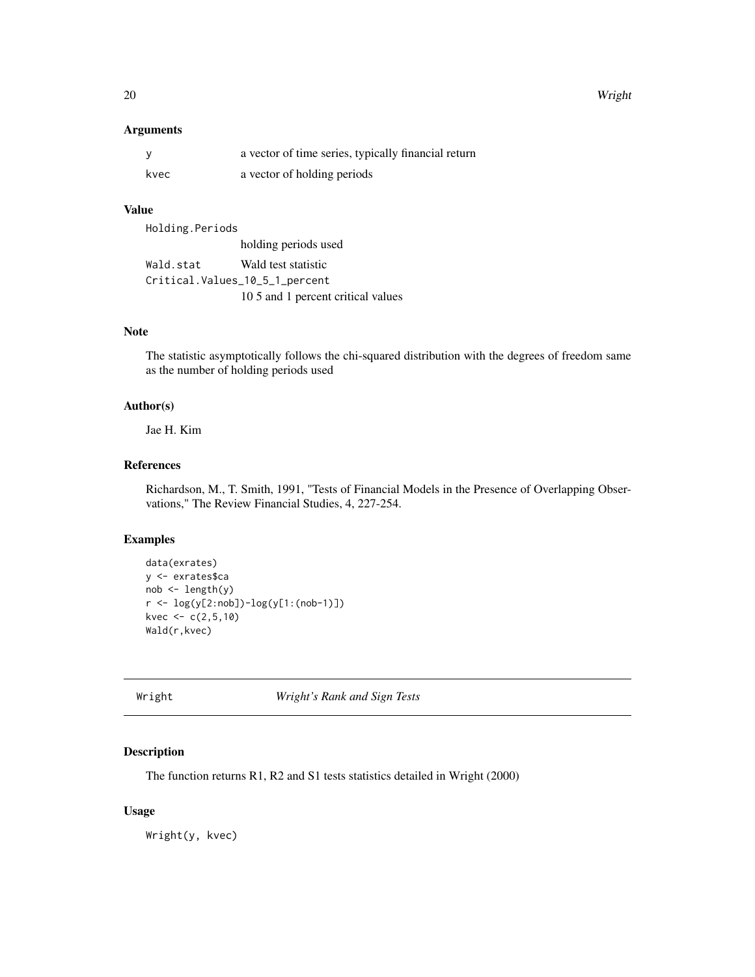<span id="page-19-0"></span>20 Wright

#### Arguments

|      | a vector of time series, typically financial return |
|------|-----------------------------------------------------|
| kvec | a vector of holding periods                         |

# Value

Holding.Periods holding periods used Wald.stat Wald test statistic Critical.Values\_10\_5\_1\_percent 10 5 and 1 percent critical values

# Note

The statistic asymptotically follows the chi-squared distribution with the degrees of freedom same as the number of holding periods used

# Author(s)

Jae H. Kim

### References

Richardson, M., T. Smith, 1991, "Tests of Financial Models in the Presence of Overlapping Observations," The Review Financial Studies, 4, 227-254.

#### Examples

```
data(exrates)
y <- exrates$ca
nob <- length(y)
r <- log(y[2:nob])-log(y[1:(nob-1)])
kvec <-c(2,5,10)Wald(r,kvec)
```
Wright *Wright's Rank and Sign Tests*

# Description

The function returns R1, R2 and S1 tests statistics detailed in Wright (2000)

#### Usage

Wright(y, kvec)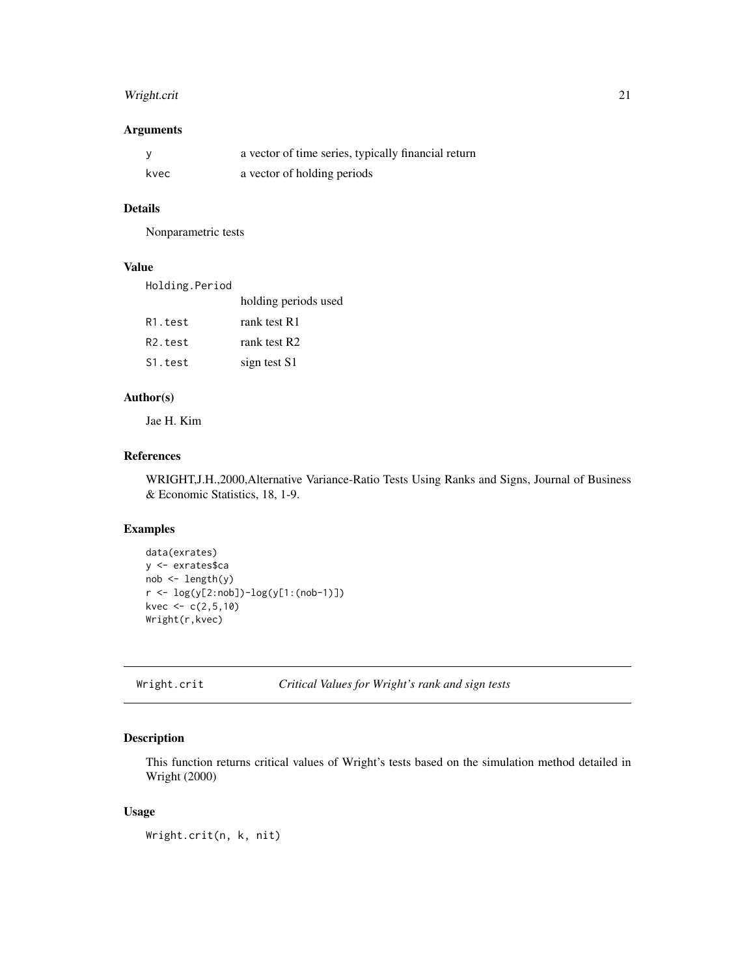# <span id="page-20-0"></span>Wright.crit 21

# Arguments

|      | a vector of time series, typically financial return |
|------|-----------------------------------------------------|
| kvec | a vector of holding periods                         |

#### Details

Nonparametric tests

# Value

| Holding.Period |                      |
|----------------|----------------------|
|                | holding periods used |

| R1.test              | rank test R1 |
|----------------------|--------------|
| R <sub>2</sub> .test | rank test R2 |
| S1.test              | sign test S1 |

# Author(s)

Jae H. Kim

# References

WRIGHT,J.H.,2000,Alternative Variance-Ratio Tests Using Ranks and Signs, Journal of Business & Economic Statistics, 18, 1-9.

# Examples

```
data(exrates)
y <- exrates$ca
nob <- length(y)
r <- log(y[2:nob])-log(y[1:(nob-1)])
kvec <-c(2,5,10)Wright(r,kvec)
```

```
Wright.crit Critical Values for Wright's rank and sign tests
```
# Description

This function returns critical values of Wright's tests based on the simulation method detailed in Wright (2000)

#### Usage

Wright.crit(n, k, nit)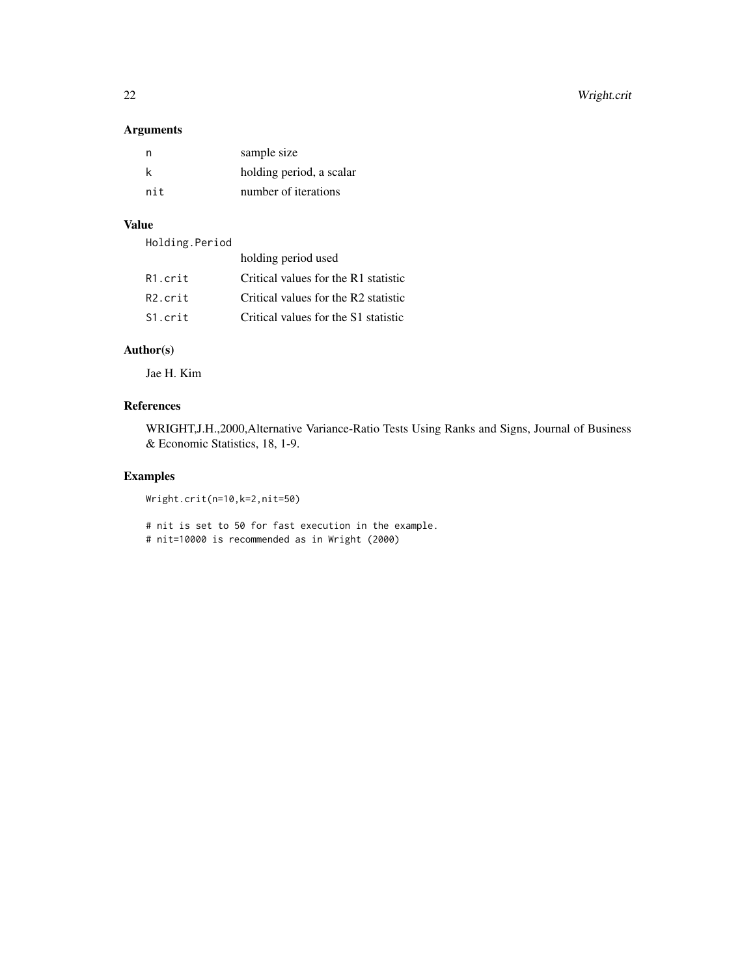# Arguments

| n   | sample size              |
|-----|--------------------------|
| k   | holding period, a scalar |
| nit | number of iterations     |

# Value

| Holding.Period |  |
|----------------|--|
|----------------|--|

|                      | holding period used                  |
|----------------------|--------------------------------------|
| R1.crit              | Critical values for the R1 statistic |
| R <sub>2</sub> .crit | Critical values for the R2 statistic |
| S1.crit              | Critical values for the S1 statistic |

# Author(s)

Jae H. Kim

# References

WRIGHT,J.H.,2000,Alternative Variance-Ratio Tests Using Ranks and Signs, Journal of Business & Economic Statistics, 18, 1-9.

# Examples

Wright.crit(n=10,k=2,nit=50)

# nit is set to 50 for fast execution in the example. # nit=10000 is recommended as in Wright (2000)